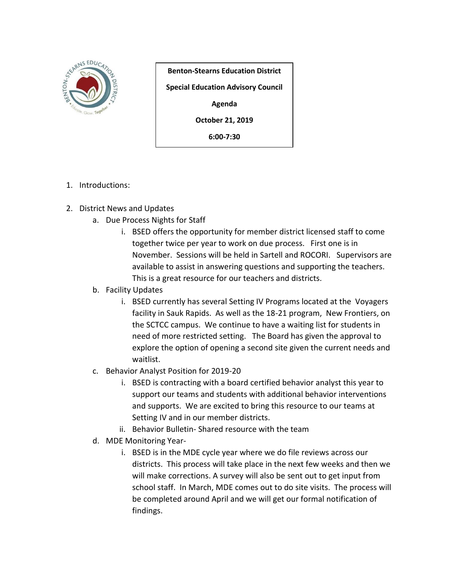

**Benton-Stearns Education District Special Education Advisory Council**

**Agenda**

**October 21, 2019**

**6:00-7:30**

- 1. Introductions:
- 2. District News and Updates
	- a. Due Process Nights for Staff
		- i. BSED offers the opportunity for member district licensed staff to come together twice per year to work on due process. First one is in November. Sessions will be held in Sartell and ROCORI. Supervisors are available to assist in answering questions and supporting the teachers. This is a great resource for our teachers and districts.
	- b. Facility Updates
		- i. BSED currently has several Setting IV Programs located at the Voyagers facility in Sauk Rapids. As well as the 18-21 program, New Frontiers, on the SCTCC campus. We continue to have a waiting list for students in need of more restricted setting. The Board has given the approval to explore the option of opening a second site given the current needs and waitlist.
	- c. Behavior Analyst Position for 2019-20
		- i. BSED is contracting with a board certified behavior analyst this year to support our teams and students with additional behavior interventions and supports. We are excited to bring this resource to our teams at Setting IV and in our member districts.
		- ii. Behavior Bulletin- Shared resource with the team
	- d. MDE Monitoring Year
		- i. BSED is in the MDE cycle year where we do file reviews across our districts. This process will take place in the next few weeks and then we will make corrections. A survey will also be sent out to get input from school staff. In March, MDE comes out to do site visits. The process will be completed around April and we will get our formal notification of findings.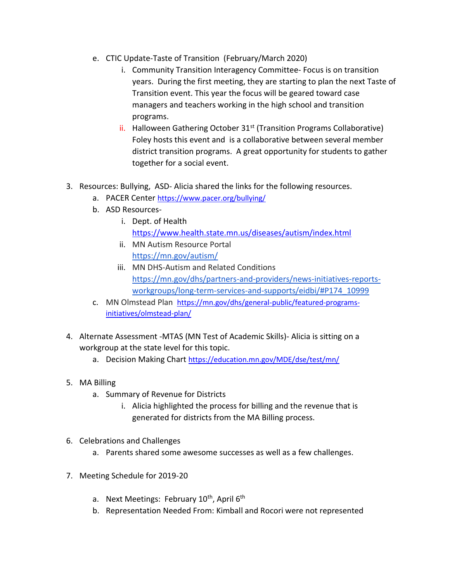- e. CTIC Update-Taste of Transition (February/March 2020)
	- i. Community Transition Interagency Committee- Focus is on transition years. During the first meeting, they are starting to plan the next Taste of Transition event. This year the focus will be geared toward case managers and teachers working in the high school and transition programs.
	- ii. Halloween Gathering October 31<sup>st</sup> (Transition Programs Collaborative) Foley hosts this event and is a collaborative between several member district transition programs. A great opportunity for students to gather together for a social event.
- 3. Resources: Bullying, ASD- Alicia shared the links for the following resources.
	- a. PACER Center <https://www.pacer.org/bullying/>
	- b. ASD Resources
		- i. Dept. of Health <https://www.health.state.mn.us/diseases/autism/index.html>
		- ii. MN Autism Resource Portal <https://mn.gov/autism/>
		- iii. MN DHS-Autism and Related Conditions [https://mn.gov/dhs/partners-and-providers/news-initiatives-reports](https://mn.gov/dhs/partners-and-providers/news-initiatives-reports-workgroups/long-term-services-and-supports/eidbi/#P174_10999)[workgroups/long-term-services-and-supports/eidbi/#P174\\_10999](https://mn.gov/dhs/partners-and-providers/news-initiatives-reports-workgroups/long-term-services-and-supports/eidbi/#P174_10999)
	- c. MN Olmstead Plan [https://mn.gov/dhs/general-public/featured-programs](https://mn.gov/dhs/general-public/featured-programs-initiatives/olmstead-plan/)[initiatives/olmstead-plan/](https://mn.gov/dhs/general-public/featured-programs-initiatives/olmstead-plan/)
- 4. Alternate Assessment -MTAS (MN Test of Academic Skills)- Alicia is sitting on a workgroup at the state level for this topic.
	- a. Decision Making Chart <https://education.mn.gov/MDE/dse/test/mn/>
- 5. MA Billing
	- a. Summary of Revenue for Districts
		- i. Alicia highlighted the process for billing and the revenue that is generated for districts from the MA Billing process.
- 6. Celebrations and Challenges
	- a. Parents shared some awesome successes as well as a few challenges.
- 7. Meeting Schedule for 2019-20
	- a. Next Meetings: February  $10^{th}$ , April  $6^{th}$
	- b. Representation Needed From: Kimball and Rocori were not represented